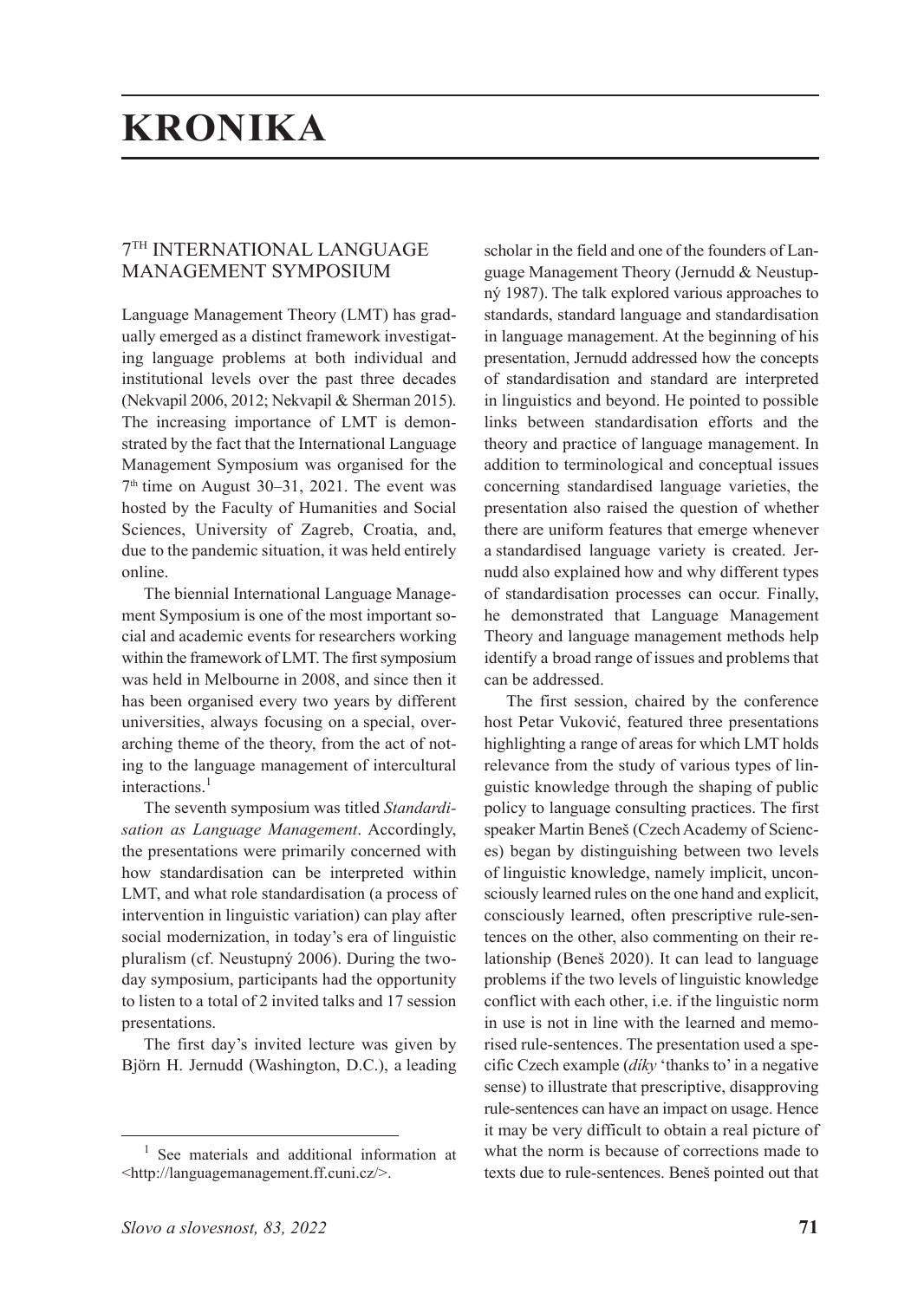## **KRONIKA**

## 7TH INTERNATIONAL LANGUAGE MANAGEMENT SYMPOSIUM

Language Management Theory (LMT) has gradually emerged as a distinct framework investigating language problems at both individual and institutional levels over the past three decades (Nekvapil 2006, 2012; Nekvapil & Sherman 2015). The increasing importance of LMT is demonstrated by the fact that the International Language Management Symposium was organised for the  $7<sup>th</sup>$  time on August 30–31, 2021. The event was hosted by the Faculty of Humanities and Social Sciences, University of Zagreb, Croatia, and, due to the pandemic situation, it was held entirely online.

The biennial International Language Management Symposium is one of the most important social and academic events for researchers working within the framework of LMT. The first symposium was held in Melbourne in 2008, and since then it has been organised every two years by different universities, always focusing on a special, overarching theme of the theory, from the act of noting to the language management of intercultural interactions.<sup>1</sup>

The seventh symposium was titled *Standardisation as Language Management*. Accordingly, the presentations were primarily concerned with how standardisation can be interpreted within LMT, and what role standardisation (a process of intervention in linguistic variation) can play after social modernization, in today's era of linguistic pluralism (cf. Neustupný 2006). During the twoday symposium, participants had the opportunity to listen to a total of 2 invited talks and 17 session presentations.

The first day's invited lecture was given by Björn H. Jernudd (Washington, D.C.), a leading

*Slovo a slovesnost, 83, 2022* **71**

scholar in the field and one of the founders of Language Management Theory (Jernudd & Neustupný 1987). The talk explored various approaches to standards, standard language and standardisation in language management. At the beginning of his presentation, Jernudd addressed how the concepts of standardisation and standard are interpreted in linguistics and beyond. He pointed to possible links between standardisation efforts and the theory and practice of language management. In addition to terminological and conceptual issues concerning standardised language varieties, the presentation also raised the question of whether there are uniform features that emerge whenever a standardised language variety is created. Jernudd also explained how and why different types of standardisation processes can occur. Finally, he demonstrated that Language Management Theory and language management methods help identify a broad range of issues and problems that can be addressed.

The first session, chaired by the conference host Petar Vuković, featured three presentations highlighting a range of areas for which LMT holds relevance from the study of various types of linguistic knowledge through the shaping of public policy to language consulting practices. The first speaker Martin Beneš (Czech Academy of Sciences) began by distinguishing between two levels of linguistic knowledge, namely implicit, unconsciously learned rules on the one hand and explicit, consciously learned, often prescriptive rule-sentences on the other, also commenting on their relationship (Beneš 2020). It can lead to language problems if the two levels of linguistic knowledge conflict with each other, i.e. if the linguistic norm in use is not in line with the learned and memorised rule-sentences. The presentation used a specific Czech example (*díky* 'thanks to' in a negative sense) to illustrate that prescriptive, disapproving rule-sentences can have an impact on usage. Hence it may be very difficult to obtain a real picture of what the norm is because of corrections made to texts due to rule-sentences. Beneš pointed out that

<sup>1</sup> See materials and additional information at <http://languagemanagement.ff.cuni.cz/>.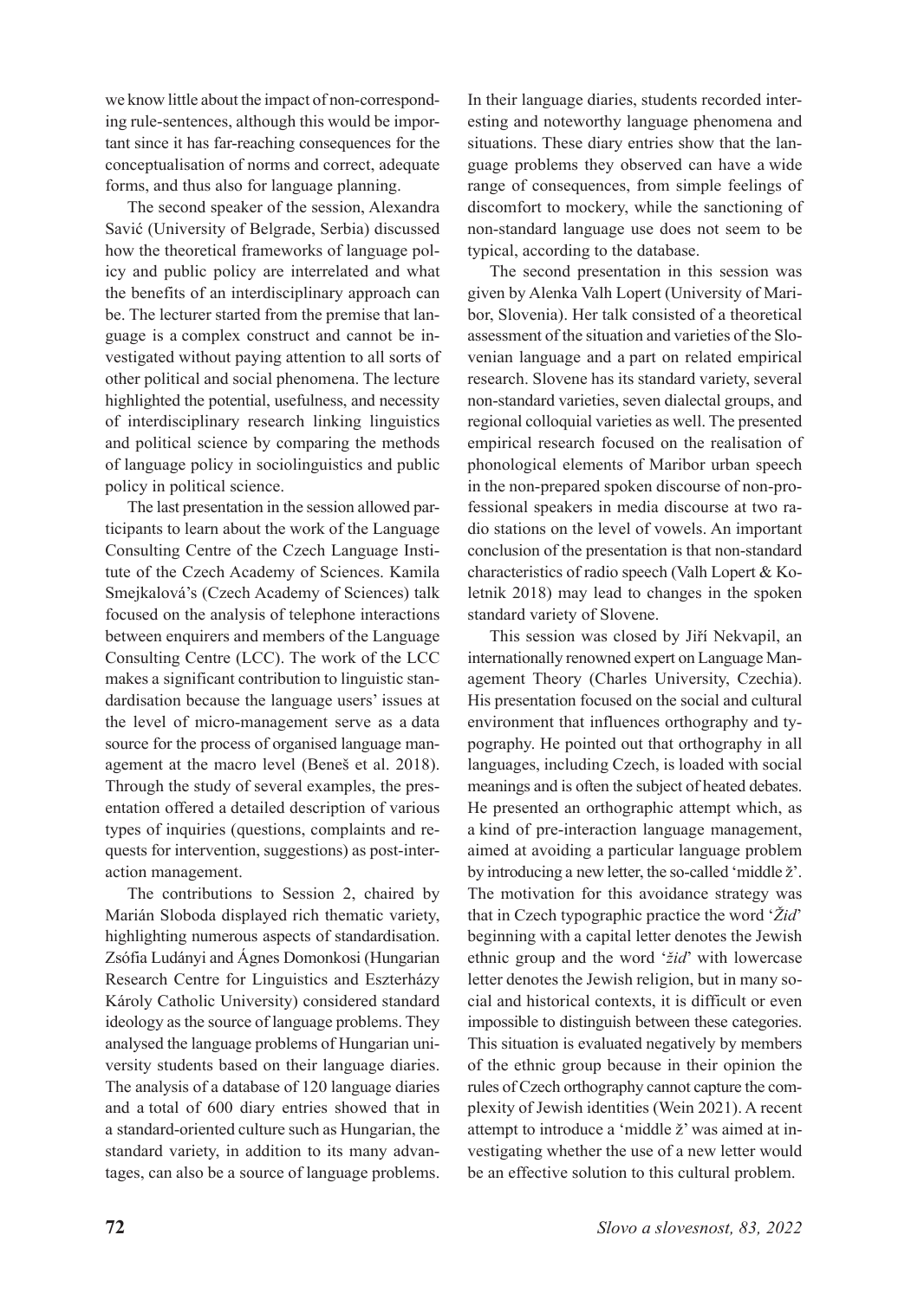we know little about the impact of non-corresponding rule-sentences, although this would be important since it has far-reaching consequences for the conceptualisation of norms and correct, adequate forms, and thus also for language planning.

The second speaker of the session, Alexandra Savić (University of Belgrade, Serbia) discussed how the theoretical frameworks of language policy and public policy are interrelated and what the benefits of an interdisciplinary approach can be. The lecturer started from the premise that language is a complex construct and cannot be investigated without paying attention to all sorts of other political and social phenomena. The lecture highlighted the potential, usefulness, and necessity of interdisciplinary research linking linguistics and political science by comparing the methods of language policy in sociolinguistics and public policy in political science.

The last presentation in the session allowed participants to learn about the work of the Language Consulting Centre of the Czech Language Institute of the Czech Academy of Sciences. Kamila Smejkalová's (Czech Academy of Sciences) talk focused on the analysis of telephone interactions between enquirers and members of the Language Consulting Centre (LCC). The work of the LCC makes a significant contribution to linguistic standardisation because the language users' issues at the level of micro-management serve as a data source for the process of organised language management at the macro level (Beneš et al. 2018). Through the study of several examples, the presentation offered a detailed description of various types of inquiries (questions, complaints and requests for intervention, suggestions) as post-interaction management.

The contributions to Session 2, chaired by Marián Sloboda displayed rich thematic variety, highlighting numerous aspects of standardisation. Zsófia Ludányi and Ágnes Domonkosi (Hungarian Research Centre for Linguistics and Eszterházy Károly Catholic University) considered standard ideology as the source of language problems. They analysed the language problems of Hungarian university students based on their language diaries. The analysis of a database of 120 language diaries and a total of 600 diary entries showed that in a standard-oriented culture such as Hungarian, the standard variety, in addition to its many advantages, can also be a source of language problems.

In their language diaries, students recorded interesting and noteworthy language phenomena and situations. These diary entries show that the language problems they observed can have a wide range of consequences, from simple feelings of discomfort to mockery, while the sanctioning of non-standard language use does not seem to be typical, according to the database.

The second presentation in this session was given by Alenka Valh Lopert (University of Maribor, Slovenia). Her talk consisted of a theoretical assessment of the situation and varieties of the Slovenian language and a part on related empirical research. Slovene has its standard variety, several non-standard varieties, seven dialectal groups, and regional colloquial varieties as well. The presented empirical research focused on the realisation of phonological elements of Maribor urban speech in the non-prepared spoken discourse of non-professional speakers in media discourse at two radio stations on the level of vowels. An important conclusion of the presentation is that non-standard characteristics of radio speech (Valh Lopert & Koletnik 2018) may lead to changes in the spoken standard variety of Slovene.

This session was closed by Jiří Nekvapil, an internationally renowned expert on Language Management Theory (Charles University, Czechia). His presentation focused on the social and cultural environment that influences orthography and typography. He pointed out that orthography in all languages, including Czech, is loaded with social meanings and is often the subject of heated debates. He presented an orthographic attempt which, as a kind of pre-interaction language management, aimed at avoiding a particular language problem by introducing a new letter, the so-called 'middle ž'. The motivation for this avoidance strategy was that in Czech typographic practice the word '*Žid*' beginning with a capital letter denotes the Jewish ethnic group and the word '*žid*' with lowercase letter denotes the Jewish religion, but in many social and historical contexts, it is difficult or even impossible to distinguish between these categories. This situation is evaluated negatively by members of the ethnic group because in their opinion the rules of Czech orthography cannot capture the complexity of Jewish identities (Wein 2021). A recent attempt to introduce a 'middle ž' was aimed at investigating whether the use of a new letter would be an effective solution to this cultural problem.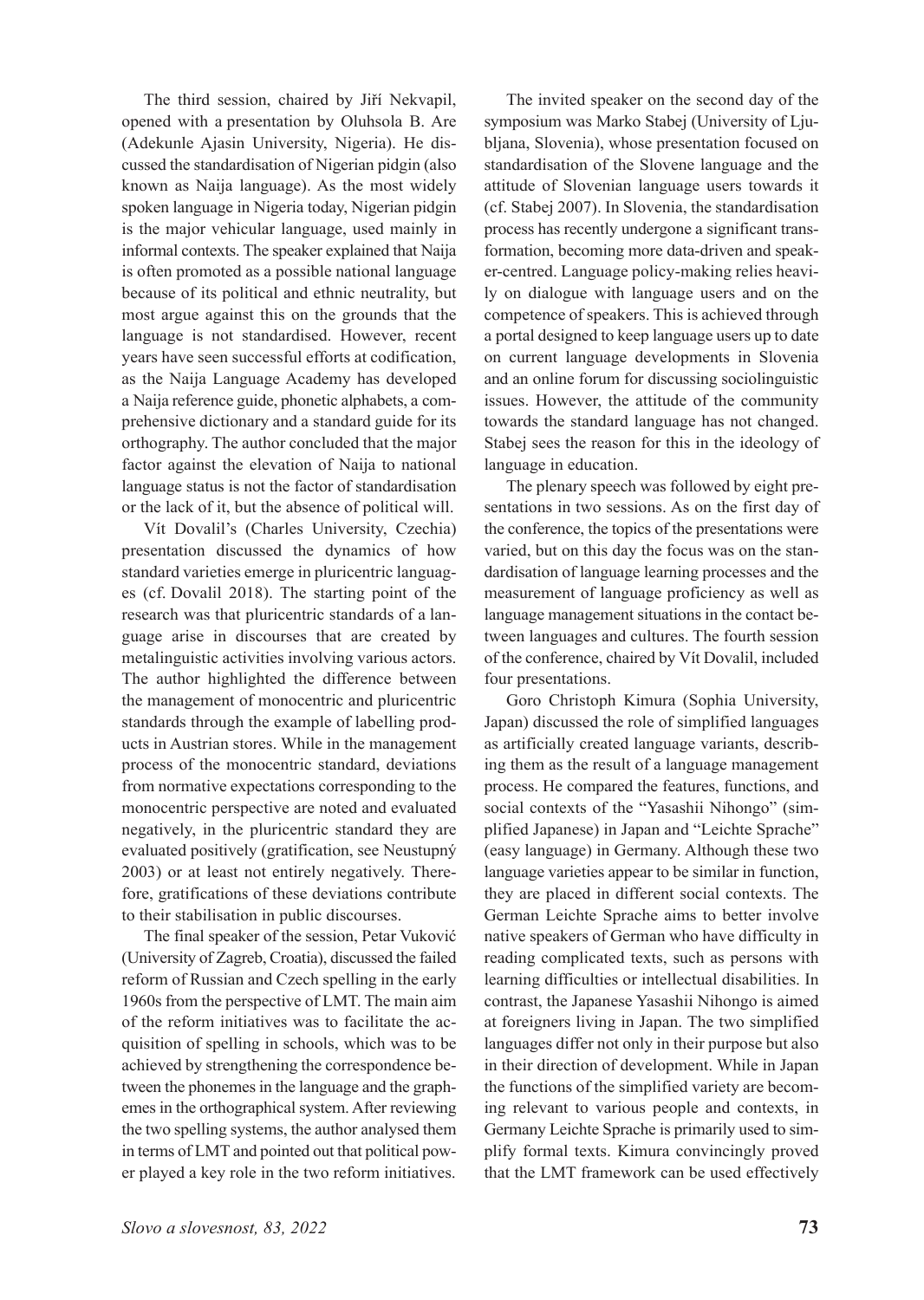The third session, chaired by Jiří Nekvapil, opened with a presentation by Oluhsola B. Are (Adekunle Ajasin University, Nigeria). He discussed the standardisation of Nigerian pidgin (also known as Naija language). As the most widely spoken language in Nigeria today, Nigerian pidgin is the major vehicular language, used mainly in informal contexts. The speaker explained that Naija is often promoted as a possible national language because of its political and ethnic neutrality, but most argue against this on the grounds that the language is not standardised. However, recent years have seen successful efforts at codification, as the Naija Language Academy has developed a Naija reference guide, phonetic alphabets, a comprehensive dictionary and a standard guide for its orthography. The author concluded that the major factor against the elevation of Naija to national language status is not the factor of standardisation or the lack of it, but the absence of political will.

Vít Dovalil's (Charles University, Czechia) presentation discussed the dynamics of how standard varieties emerge in pluricentric languages (cf. Dovalil 2018). The starting point of the research was that pluricentric standards of a language arise in discourses that are created by metalinguistic activities involving various actors. The author highlighted the difference between the management of monocentric and pluricentric standards through the example of labelling products in Austrian stores. While in the management process of the monocentric standard, deviations from normative expectations corresponding to the monocentric perspective are noted and evaluated negatively, in the pluricentric standard they are evaluated positively (gratification, see Neustupný 2003) or at least not entirely negatively. Therefore, gratifications of these deviations contribute to their stabilisation in public discourses.

The final speaker of the session, Petar Vuković (University of Zagreb, Croatia), discussed the failed reform of Russian and Czech spelling in the early 1960s from the perspective of LMT. The main aim of the reform initiatives was to facilitate the acquisition of spelling in schools, which was to be achieved by strengthening the correspondence between the phonemes in the language and the graphemes in the orthographical system. After reviewing the two spelling systems, the author analysed them in terms of LMT and pointed out that political power played a key role in the two reform initiatives.

The invited speaker on the second day of the symposium was Marko Stabej (University of Ljubljana, Slovenia), whose presentation focused on standardisation of the Slovene language and the attitude of Slovenian language users towards it (cf. Stabej 2007). In Slovenia, the standardisation process has recently undergone a significant transformation, becoming more data-driven and speaker-centred. Language policy-making relies heavily on dialogue with language users and on the competence of speakers. This is achieved through a portal designed to keep language users up to date on current language developments in Slovenia and an online forum for discussing sociolinguistic issues. However, the attitude of the community towards the standard language has not changed. Stabej sees the reason for this in the ideology of language in education.

The plenary speech was followed by eight presentations in two sessions. As on the first day of the conference, the topics of the presentations were varied, but on this day the focus was on the standardisation of language learning processes and the measurement of language proficiency as well as language management situations in the contact between languages and cultures. The fourth session of the conference, chaired by Vít Dovalil, included four presentations.

Goro Christoph Kimura (Sophia University, Japan) discussed the role of simplified languages as artificially created language variants, describing them as the result of a language management process. He compared the features, functions, and social contexts of the "Yasashii Nihongo" (simplified Japanese) in Japan and "Leichte Sprache" (easy language) in Germany. Although these two language varieties appear to be similar in function, they are placed in different social contexts. The German Leichte Sprache aims to better involve native speakers of German who have difficulty in reading complicated texts, such as persons with learning difficulties or intellectual disabilities. In contrast, the Japanese Yasashii Nihongo is aimed at foreigners living in Japan. The two simplified languages differ not only in their purpose but also in their direction of development. While in Japan the functions of the simplified variety are becoming relevant to various people and contexts, in Germany Leichte Sprache is primarily used to simplify formal texts. Kimura convincingly proved that the LMT framework can be used effectively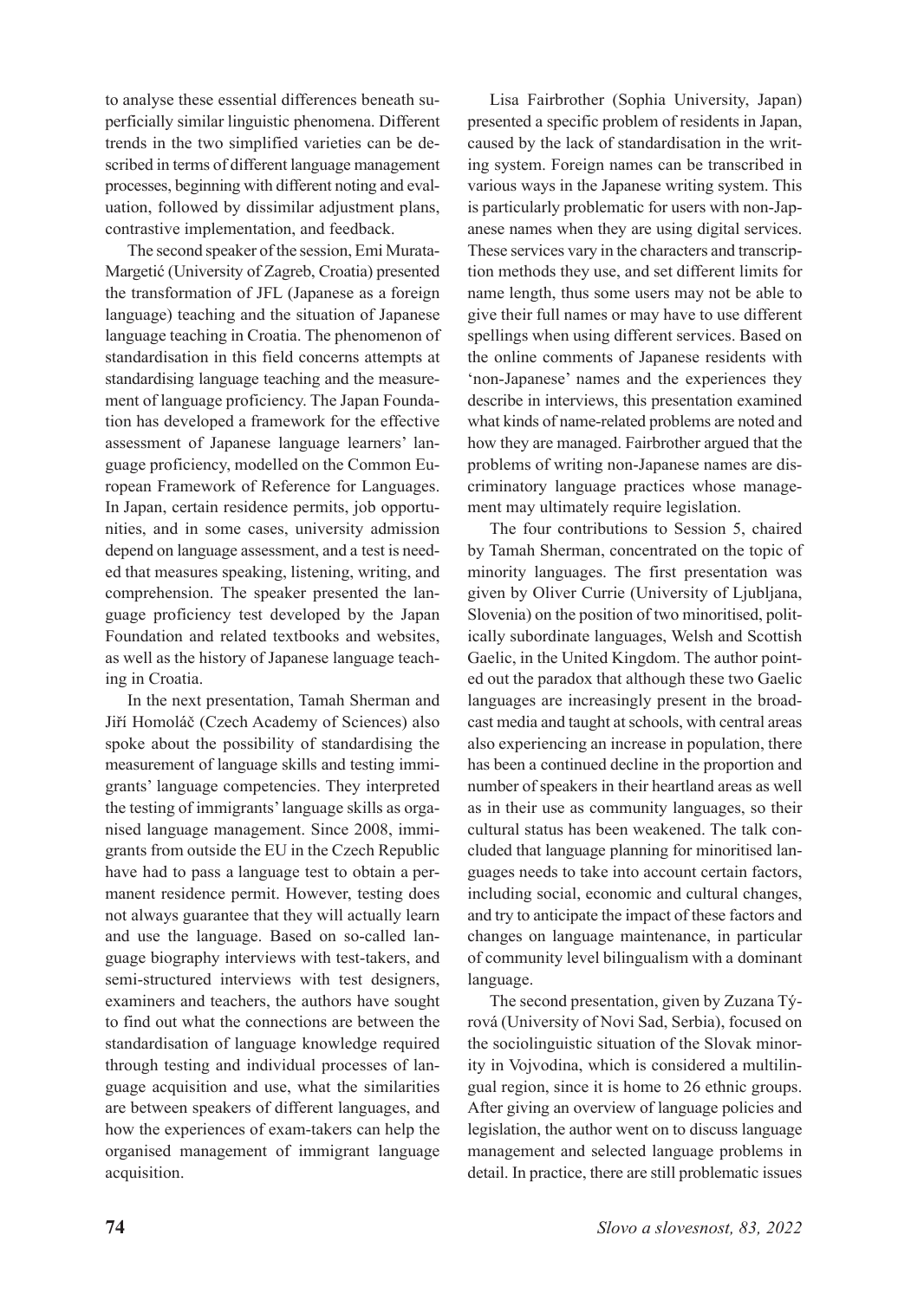to analyse these essential differences beneath superficially similar linguistic phenomena. Different trends in the two simplified varieties can be described in terms of different language management processes, beginning with different noting and evaluation, followed by dissimilar adjustment plans, contrastive implementation, and feedback.

The second speaker of the session, Emi Murata-Margetić (University of Zagreb, Croatia) presented the transformation of JFL (Japanese as a foreign language) teaching and the situation of Japanese language teaching in Croatia. The phenomenon of standardisation in this field concerns attempts at standardising language teaching and the measurement of language proficiency. The Japan Foundation has developed a framework for the effective assessment of Japanese language learners' language proficiency, modelled on the Common European Framework of Reference for Languages. In Japan, certain residence permits, job opportunities, and in some cases, university admission depend on language assessment, and a test is needed that measures speaking, listening, writing, and comprehension. The speaker presented the language proficiency test developed by the Japan Foundation and related textbooks and websites, as well as the history of Japanese language teaching in Croatia.

In the next presentation, Tamah Sherman and Jiří Homoláč (Czech Academy of Sciences) also spoke about the possibility of standardising the measurement of language skills and testing immigrants' language competencies. They interpreted the testing of immigrants' language skills as organised language management. Since 2008, immigrants from outside the EU in the Czech Republic have had to pass a language test to obtain a permanent residence permit. However, testing does not always guarantee that they will actually learn and use the language. Based on so-called language biography interviews with test-takers, and semi-structured interviews with test designers, examiners and teachers, the authors have sought to find out what the connections are between the standardisation of language knowledge required through testing and individual processes of language acquisition and use, what the similarities are between speakers of different languages, and how the experiences of exam-takers can help the organised management of immigrant language acquisition.

Lisa Fairbrother (Sophia University, Japan) presented a specific problem of residents in Japan, caused by the lack of standardisation in the writing system. Foreign names can be transcribed in various ways in the Japanese writing system. This is particularly problematic for users with non-Japanese names when they are using digital services. These services vary in the characters and transcription methods they use, and set different limits for name length, thus some users may not be able to give their full names or may have to use different spellings when using different services. Based on the online comments of Japanese residents with 'non-Japanese' names and the experiences they describe in interviews, this presentation examined what kinds of name-related problems are noted and how they are managed. Fairbrother argued that the problems of writing non-Japanese names are discriminatory language practices whose management may ultimately require legislation.

The four contributions to Session 5, chaired by Tamah Sherman, concentrated on the topic of minority languages. The first presentation was given by Oliver Currie (University of Ljubljana, Slovenia) on the position of two minoritised, politically subordinate languages, Welsh and Scottish Gaelic, in the United Kingdom. The author pointed out the paradox that although these two Gaelic languages are increasingly present in the broadcast media and taught at schools, with central areas also experiencing an increase in population, there has been a continued decline in the proportion and number of speakers in their heartland areas as well as in their use as community languages, so their cultural status has been weakened. The talk concluded that language planning for minoritised languages needs to take into account certain factors, including social, economic and cultural changes, and try to anticipate the impact of these factors and changes on language maintenance, in particular of community level bilingualism with a dominant language.

The second presentation, given by Zuzana Týrová (University of Novi Sad, Serbia), focused on the sociolinguistic situation of the Slovak minority in Vojvodina, which is considered a multilingual region, since it is home to 26 ethnic groups. After giving an overview of language policies and legislation, the author went on to discuss language management and selected language problems in detail. In practice, there are still problematic issues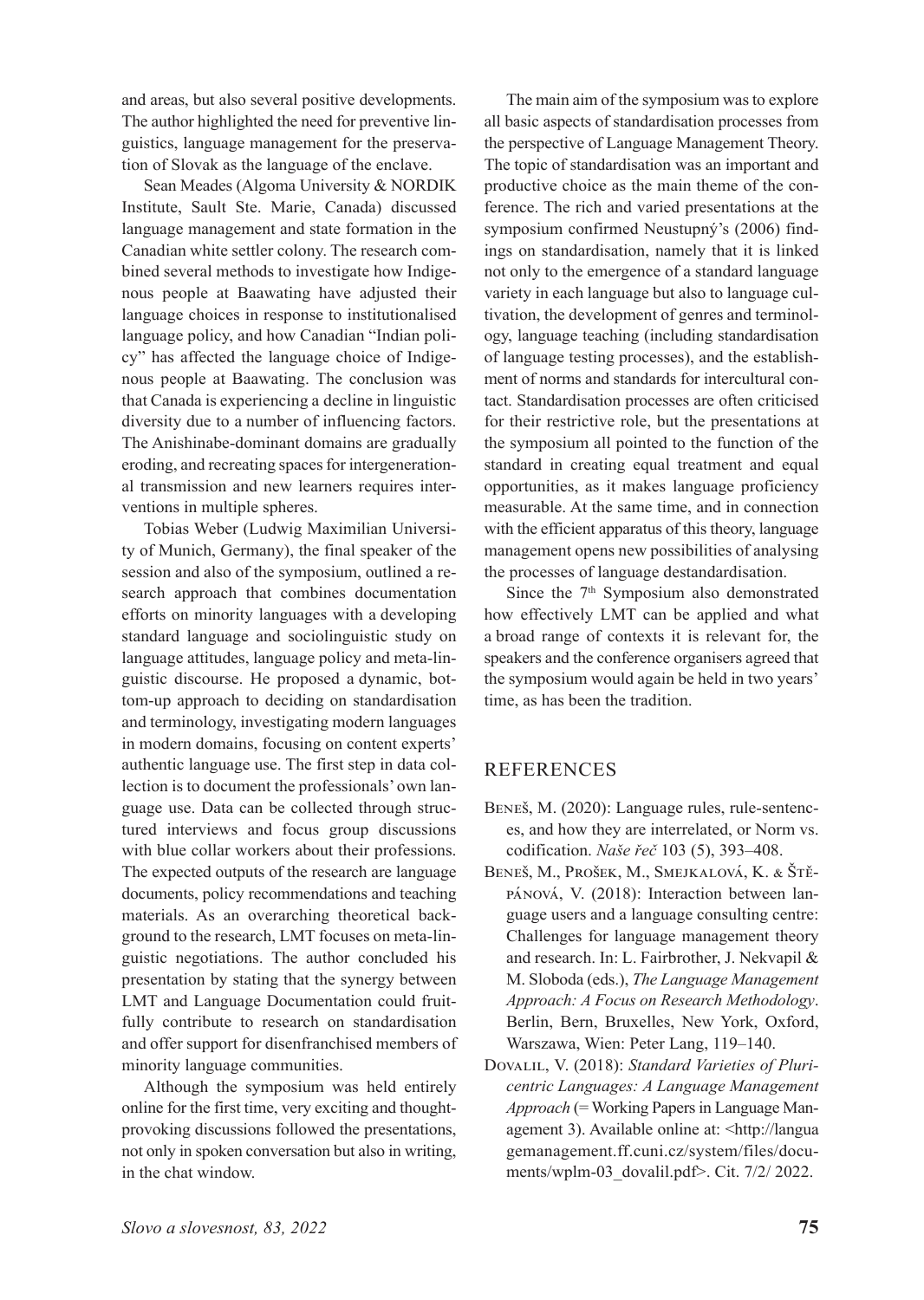and areas, but also several positive developments. The author highlighted the need for preventive linguistics, language management for the preservation of Slovak as the language of the enclave.

Sean Meades (Algoma University & NORDIK Institute, Sault Ste. Marie, Canada) discussed language management and state formation in the Canadian white settler colony. The research combined several methods to investigate how Indigenous people at Baawating have adjusted their language choices in response to institutionalised language policy, and how Canadian "Indian policy" has affected the language choice of Indigenous people at Baawating. The conclusion was that Canada is experiencing a decline in linguistic diversity due to a number of influencing factors. The Anishinabe-dominant domains are gradually eroding, and recreating spaces for intergenerational transmission and new learners requires interventions in multiple spheres.

Tobias Weber (Ludwig Maximilian University of Munich, Germany), the final speaker of the session and also of the symposium, outlined a research approach that combines documentation efforts on minority languages with a developing standard language and sociolinguistic study on language attitudes, language policy and meta-linguistic discourse. He proposed a dynamic, bottom-up approach to deciding on standardisation and terminology, investigating modern languages in modern domains, focusing on content experts' authentic language use. The first step in data collection is to document the professionals' own language use. Data can be collected through structured interviews and focus group discussions with blue collar workers about their professions. The expected outputs of the research are language documents, policy recommendations and teaching materials. As an overarching theoretical background to the research, LMT focuses on meta-linguistic negotiations. The author concluded his presentation by stating that the synergy between LMT and Language Documentation could fruitfully contribute to research on standardisation and offer support for disenfranchised members of minority language communities.

Although the symposium was held entirely online for the first time, very exciting and thoughtprovoking discussions followed the presentations, not only in spoken conversation but also in writing, in the chat window.

The main aim of the symposium was to explore all basic aspects of standardisation processes from the perspective of Language Management Theory. The topic of standardisation was an important and productive choice as the main theme of the conference. The rich and varied presentations at the symposium confirmed Neustupný's (2006) findings on standardisation, namely that it is linked not only to the emergence of a standard language variety in each language but also to language cultivation, the development of genres and terminology, language teaching (including standardisation of language testing processes), and the establishment of norms and standards for intercultural contact. Standardisation processes are often criticised for their restrictive role, but the presentations at the symposium all pointed to the function of the standard in creating equal treatment and equal opportunities, as it makes language proficiency measurable. At the same time, and in connection with the efficient apparatus of this theory, language management opens new possibilities of analysing the processes of language destandardisation.

Since the 7<sup>th</sup> Symposium also demonstrated how effectively LMT can be applied and what a broad range of contexts it is relevant for, the speakers and the conference organisers agreed that the symposium would again be held in two years' time, as has been the tradition.

## REFERENCES

- Beneš, M. (2020): Language rules, rule-sentences, and how they are interrelated, or Norm vs. codification. *Naše řeč* 103 (5), 393–408.
- Beneš, M., Prošek, M., Smejkalová, K. & Štěpánová, V. (2018): Interaction between language users and a language consulting centre: Challenges for language management theory and research. In: L. Fairbrother, J. Nekvapil & M. Sloboda (eds.), *The Language Management Approach: A Focus on Research Methodology*. Berlin, Bern, Bruxelles, New York, Oxford, Warszawa, Wien: Peter Lang, 119–140.
- Dovalil, V. (2018): *Standard Varieties of Pluricentric Languages: A Language Management Approach* (= Working Papers in Language Management 3). Available online at: <http://langua gemanagement.ff.cuni.cz/system/files/documents/wplm-03\_dovalil.pdf>. Cit. 7/2/ 2022.